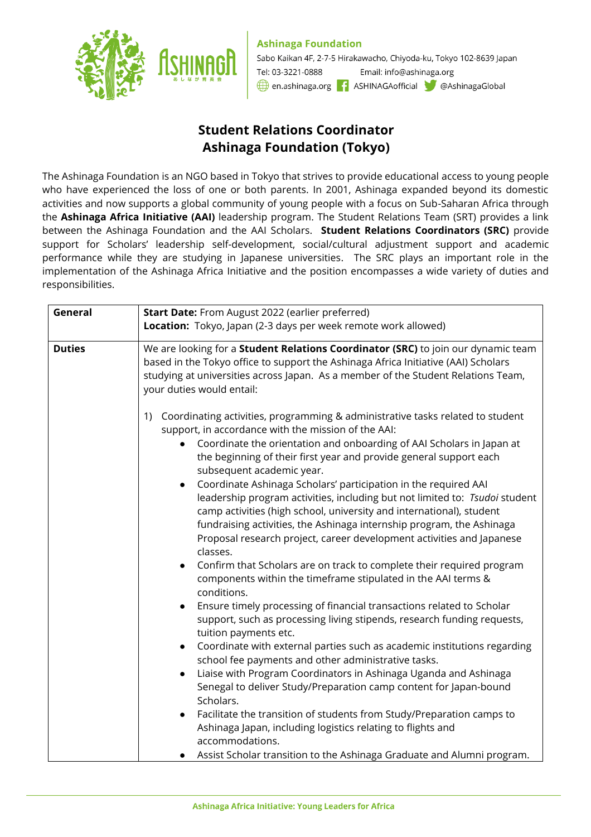**Ashinaga Foundation** 



Sabo Kaikan 4F, 2-7-5 Hirakawacho, Chiyoda-ku, Tokyo 102-8639 Japan Tel: 03-3221-0888 Email: info@ashinaga.org en.ashinaga.org **1** ASHINAGAofficial @AshinagaGlobal

## **Student Relations Coordinator Ashinaga Foundation (Tokyo)**

The Ashinaga Foundation is an NGO based in Tokyo that strives to provide educational access to young people who have experienced the loss of one or both parents. In 2001, Ashinaga expanded beyond its domestic activities and now supports a global community of young people with a focus on Sub-Saharan Africa through the **Ashinaga Africa Initiative (AAI)** leadership program. The Student Relations Team (SRT) provides a link between the Ashinaga Foundation and the AAI Scholars. **Student Relations Coordinators (SRC)** provide support for Scholars' leadership self-development, social/cultural adjustment support and academic performance while they are studying in Japanese universities. The SRC plays an important role in the implementation of the Ashinaga Africa Initiative and the position encompasses a wide variety of duties and responsibilities.

| General       | Start Date: From August 2022 (earlier preferred)                                                                                                                                                                                                                                                                                                                                                                                                                                                                                                                                                                                                                                                                                                                                                                                                                                                                                                                                                                                                                                                                                                                                                                                                                                                                                                                                                                                                                                                                                   |
|---------------|------------------------------------------------------------------------------------------------------------------------------------------------------------------------------------------------------------------------------------------------------------------------------------------------------------------------------------------------------------------------------------------------------------------------------------------------------------------------------------------------------------------------------------------------------------------------------------------------------------------------------------------------------------------------------------------------------------------------------------------------------------------------------------------------------------------------------------------------------------------------------------------------------------------------------------------------------------------------------------------------------------------------------------------------------------------------------------------------------------------------------------------------------------------------------------------------------------------------------------------------------------------------------------------------------------------------------------------------------------------------------------------------------------------------------------------------------------------------------------------------------------------------------------|
|               | Location: Tokyo, Japan (2-3 days per week remote work allowed)                                                                                                                                                                                                                                                                                                                                                                                                                                                                                                                                                                                                                                                                                                                                                                                                                                                                                                                                                                                                                                                                                                                                                                                                                                                                                                                                                                                                                                                                     |
| <b>Duties</b> | We are looking for a Student Relations Coordinator (SRC) to join our dynamic team<br>based in the Tokyo office to support the Ashinaga Africa Initiative (AAI) Scholars<br>studying at universities across Japan. As a member of the Student Relations Team,<br>your duties would entail:<br>Coordinating activities, programming & administrative tasks related to student<br>1)                                                                                                                                                                                                                                                                                                                                                                                                                                                                                                                                                                                                                                                                                                                                                                                                                                                                                                                                                                                                                                                                                                                                                  |
|               | support, in accordance with the mission of the AAI:<br>Coordinate the orientation and onboarding of AAI Scholars in Japan at<br>$\bullet$<br>the beginning of their first year and provide general support each<br>subsequent academic year.<br>Coordinate Ashinaga Scholars' participation in the required AAI<br>leadership program activities, including but not limited to: Tsudoi student<br>camp activities (high school, university and international), student<br>fundraising activities, the Ashinaga internship program, the Ashinaga<br>Proposal research project, career development activities and Japanese<br>classes.<br>Confirm that Scholars are on track to complete their required program<br>components within the timeframe stipulated in the AAI terms &<br>conditions.<br>Ensure timely processing of financial transactions related to Scholar<br>support, such as processing living stipends, research funding requests,<br>tuition payments etc.<br>Coordinate with external parties such as academic institutions regarding<br>$\bullet$<br>school fee payments and other administrative tasks.<br>Liaise with Program Coordinators in Ashinaga Uganda and Ashinaga<br>$\bullet$<br>Senegal to deliver Study/Preparation camp content for Japan-bound<br>Scholars.<br>Facilitate the transition of students from Study/Preparation camps to<br>Ashinaga Japan, including logistics relating to flights and<br>accommodations.<br>Assist Scholar transition to the Ashinaga Graduate and Alumni program. |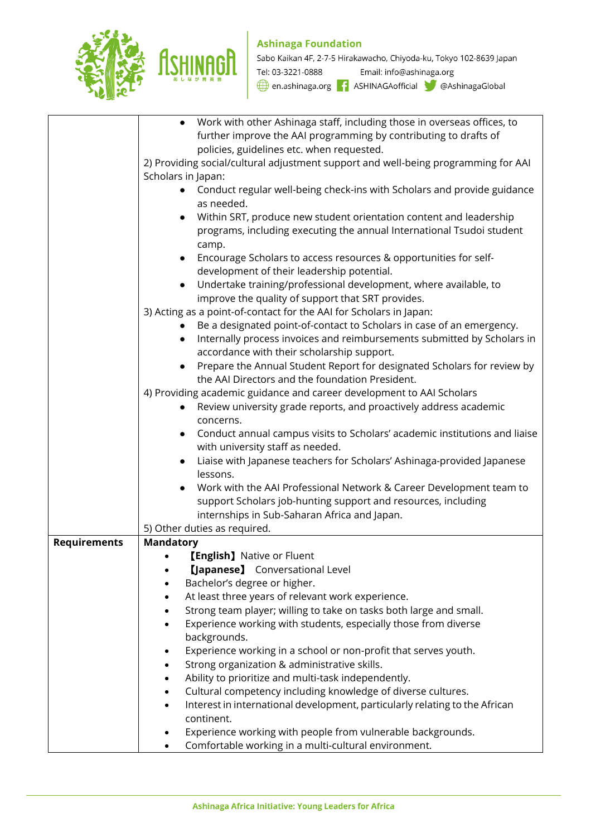

## **Ashinaga Foundation**

Sabo Kaikan 4F, 2-7-5 Hirakawacho, Chiyoda-ku, Tokyo 102-8639 Japan Tel: 03-3221-0888 Email: info@ashinaga.org

en.ashinaga.org 1 ASHINAGAofficial @AshinagaGlobal

|                     | Work with other Ashinaga staff, including those in overseas offices, to                 |
|---------------------|-----------------------------------------------------------------------------------------|
|                     | further improve the AAI programming by contributing to drafts of                        |
|                     | policies, guidelines etc. when requested.                                               |
|                     | 2) Providing social/cultural adjustment support and well-being programming for AAI      |
|                     |                                                                                         |
|                     | Scholars in Japan:                                                                      |
|                     | Conduct regular well-being check-ins with Scholars and provide guidance                 |
|                     | as needed.                                                                              |
|                     | Within SRT, produce new student orientation content and leadership<br>$\bullet$         |
|                     | programs, including executing the annual International Tsudoi student                   |
|                     |                                                                                         |
|                     | camp.                                                                                   |
|                     | Encourage Scholars to access resources & opportunities for self-<br>$\bullet$           |
|                     | development of their leadership potential.                                              |
|                     | Undertake training/professional development, where available, to<br>$\bullet$           |
|                     | improve the quality of support that SRT provides.                                       |
|                     | 3) Acting as a point-of-contact for the AAI for Scholars in Japan:                      |
|                     |                                                                                         |
|                     | Be a designated point-of-contact to Scholars in case of an emergency.                   |
|                     | Internally process invoices and reimbursements submitted by Scholars in<br>$\bullet$    |
|                     | accordance with their scholarship support.                                              |
|                     | Prepare the Annual Student Report for designated Scholars for review by<br>$\bullet$    |
|                     | the AAI Directors and the foundation President.                                         |
|                     | 4) Providing academic guidance and career development to AAI Scholars                   |
|                     | Review university grade reports, and proactively address academic                       |
|                     | $\bullet$                                                                               |
|                     | concerns.                                                                               |
|                     | Conduct annual campus visits to Scholars' academic institutions and liaise<br>$\bullet$ |
|                     | with university staff as needed.                                                        |
|                     | Liaise with Japanese teachers for Scholars' Ashinaga-provided Japanese<br>$\bullet$     |
|                     | lessons.                                                                                |
|                     | Work with the AAI Professional Network & Career Development team to                     |
|                     |                                                                                         |
|                     | support Scholars job-hunting support and resources, including                           |
|                     | internships in Sub-Saharan Africa and Japan.                                            |
|                     | 5) Other duties as required.                                                            |
| <b>Requirements</b> | <b>Mandatory</b>                                                                        |
|                     | <b>[English]</b> Native or Fluent                                                       |
|                     | [Japanese] Conversational Level                                                         |
|                     | Bachelor's degree or higher.                                                            |
|                     | At least three years of relevant work experience.                                       |
|                     | Strong team player; willing to take on tasks both large and small.                      |
|                     |                                                                                         |
|                     | Experience working with students, especially those from diverse                         |
|                     | backgrounds.                                                                            |
|                     | Experience working in a school or non-profit that serves youth.                         |
|                     | Strong organization & administrative skills.                                            |
|                     | Ability to prioritize and multi-task independently.                                     |
|                     | Cultural competency including knowledge of diverse cultures.                            |
|                     |                                                                                         |
|                     | Interest in international development, particularly relating to the African             |
|                     | continent.                                                                              |
|                     | Experience working with people from vulnerable backgrounds.                             |
|                     | Comfortable working in a multi-cultural environment.                                    |